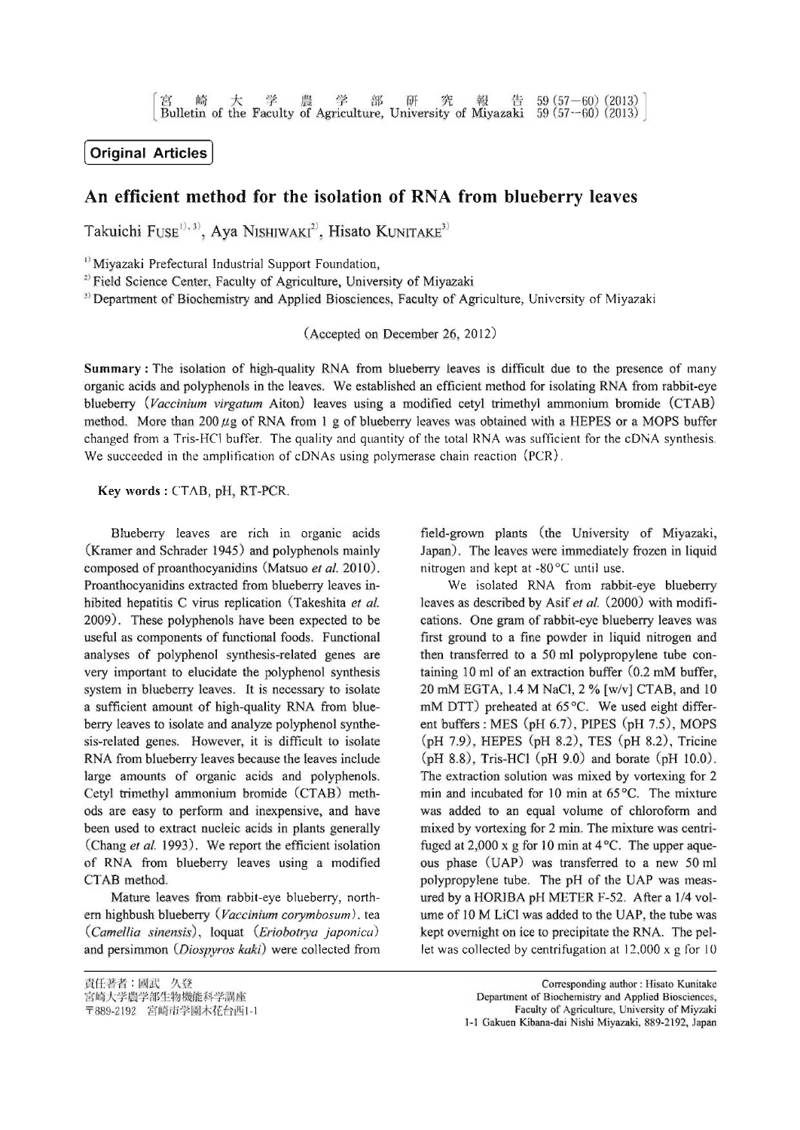## **[Original Articles 1**

### **An efficient method for the isolation of RNA from blueberry leaves**

Takuichi Fuse<sup>1), 3)</sup>, Aya Nishiwaki<sup>2)</sup>, Hisato Kunitake<sup>3)</sup>

<sup>1)</sup> Miyazaki Prefectural Industrial Support Foundation,

<sup>2)</sup> Field Science Center, Faculty of Agriculture, University of Miyazaki

3) Department of Biochemistry and Applied Biosciences, Faculty of Agriculture, University of Miyazaki

(Accepted on December 26, 2012)

Summary: The isolation of high-quality RNA from blueberry leaves is difficult due to the presence of many organic acids and polyphenols in the leaves. We established an efficient method for isolating RNA from rabbit-eye blueberry *(Vaccinium virgatum* Aiton) leaves using a modified cetyl trimethyl ammonium bromide (CTAB) method. More than 200  $\mu$ g of RNA from 1 g of blueberry leaves was obtained with a HEPES or a MOPS buffer changed from a Tris-HCl buffer. The quality and quantity of the total RNA was sufficient for the cDNA synthesis. We succeeded in the amplification of cDNAs using polymerase chain reaction (PCR).

Key words: CTAB, pH, RT-PCR.

Blueberry leaves are rich in organic acids (Kramer and Schrader 1945) and polyphenols mainly composed of proanthocyanidins (Matsuo *et al.* 2010). Proanthocyanidins extracted from blueberry leaves inhibited hepatitis C virus replication (Takeshita *et al.*) 2009). These polyphenols have been expected to be useful as components of functional foods. Functional analyses of polyphenol synthesis-related genes are very important to elucidate the polyphenol synthesis system in blueberry leaves. It is necessary to isolate a sufficient amount of high-quality RNA from blueberry leaves to isolate and analyze polyphenol synthesis-related genes. However, it is difficult to isolate RNA from blueberry leaves because the leaves include large amounts of organic acids and polyphenols. Cetyl trimethyl ammonium bromide (CTAB) methods are easy to perform and inexpensive, and have been used to extract nucleic acids in plants generally (Chang *et al.* 1993). We report the efficient isolation of RNA from blueberry leaves using a modified CTAB method.

Mature leaves from rabbit-eye blueberry, northern highbush blueberry (*Vaccinium corymbosum*), tea *(Camellia sinensis)* loquat *(Eriobotrya japonica)* and persimmon *(Diospyros kaki)* were collected from field-grown plants (the University of Miyazaki, Japan). The leaves were immediately frozen in liquid nitrogen and kept at -80°C until use.

We isolated RNA from rabbit-eye blueberry leaves as described by Asif *et at.* (2000) with modifications. One gram of rabbit-eye blueberry leaves was first ground to a fine powder in liquid nitrogen and then transferred to a 50 ml polypropylene tube containing 10 ml of an extraction buffer (0.2 mM buffer, 20 mM EGTA, 1.4 M NaCl, 2 % [w/v] CTAB, and 10 mM DTT) preheated at  $65^{\circ}$ C. We used eight different buffers: MES (pH 6.7), PIPES (pH 7.5), MOPS  $(pH 7.9)$ , HEPES  $(pH 8.2)$ , TES  $(pH 8.2)$ , Tricine  $(pH 8.8)$ , Tris-HCl  $(pH 9.0)$  and borate  $(pH 10.0)$ . The extraction solution was mixed by vortexing for 2 min and incubated for 10 min at 65°C. The mixture was added to an equal volume of chloroform and mixed by vortexing for 2 min. The mixture was centrifuged at 2,000 x g for 10 min at 4°C. The upper aqueous phase (UAP) was transferred to a new 50 ml polypropylene tube. The pH of the UAP was measured by a HORIBA pH METER F-52. After a 1/4 volume of 10 M LiCl was added to the UAP, the tube was kept overnight on ice to precipitate the RNA. The pellet was collected by centrifugation at 12,000 x g for 10

Corresponding author: Hisato Kunitake Department of Biochemistry and Applied Biosciences, Faculty of Agriculture, University of Miyzaki 1-1 Gakuen Kibana-dai Nishi Miyazaki, 889-2192, Japan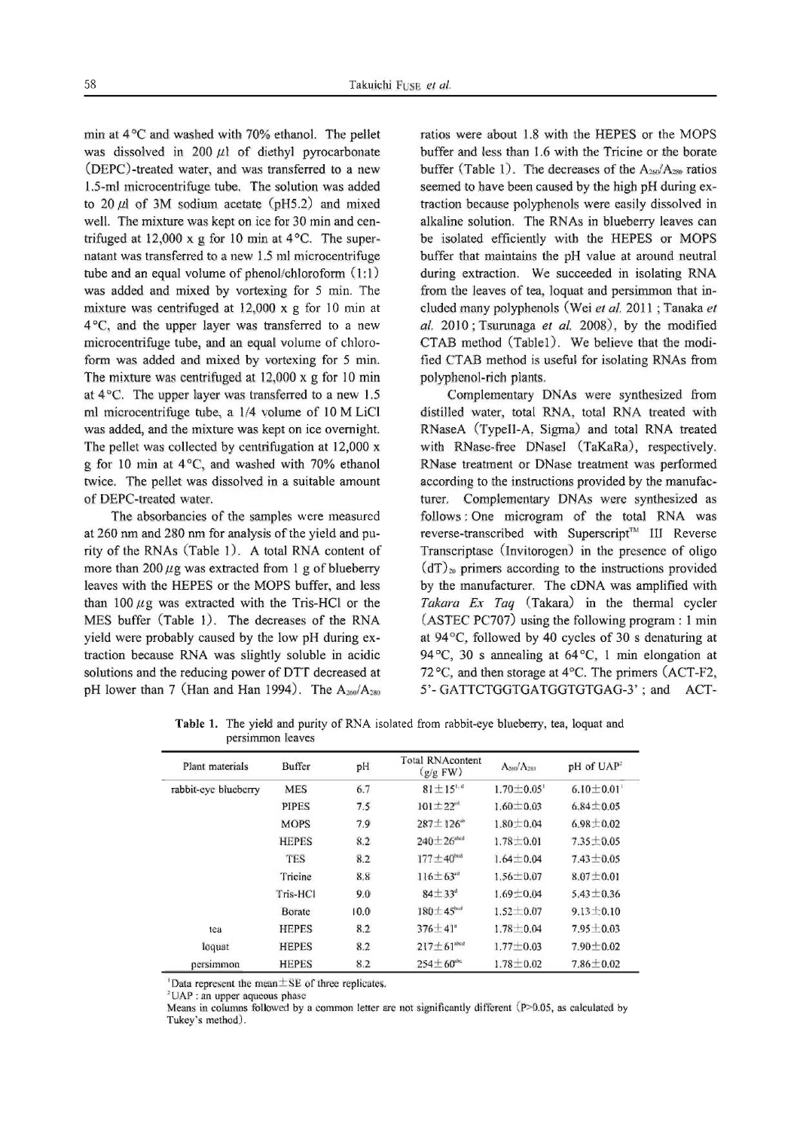min at  $4^{\circ}$ C and washed with 70% ethanol. The pellet was dissolved in 200  $\mu$ l of diethyl pyrocarbonate (DEPC)-treated water, and was transferred to a new 1.5-ml microcentrifuge tube. The solution was added to 20  $\mu$ l of 3M sodium acetate (pH5.2) and mixed well. The mixture was kept on ice for 30 min and centrifuged at 12,000 x g for 10 min at 4°C. The supernatant was transferred to a new 1.5 ml microcentrifuge tube and an equal volwne of phenol/chloroform (1:]) was added and mixed by vortexing for 5 min. The mixture was centrifuged at 12,000 x g for 10 min at 4°C, and the upper layer was transferred to a new microcentrifuge tube, and an equal volume of chloroform was added and mixed by vortexing for 5 min. The mixture was centrifuged at 12,000 x g for 10 min at 4°C. The upper layer was transferred to a new 1.5 ml microcentrifuge tube, a 1/4 volume of 10 M LiCl was added, and the mixture was kept on ice overnight. The pellet was collected by centrifugation at 12,000 x g for 10 min at 4°C, and washed with 70% ethanol twice. The pellet was dissolved in a suitable amount of DEPC-treated water.

The absorbancies of the samples were measured at 260 nm and 280 nm for analysis of the yield and purity of the RNAs (Table 1). A total RNA content of more than 200  $\mu$ g was extracted from 1 g of blueberry leaves with the HEPES or the MOPS buffer, and less than  $100 \mu$ g was extracted with the Tris-HCl or the MES buffer (Table 1). The decreases of the RNA yield were probably caused by the low pH during extraction because RNA was slightly soluble in acidic solutions and the reducing power of DTT decreased at pH lower than 7 (Han and Han 1994). The  $A_{260}/A_{280}$ 

ratios were about 1.8 with the HEPES or the MOPS buffer and less than 1.6 with the Tricine or the borate buffer (Table 1). The decreases of the  $A_{250}/A_{250}$  ratios seemed to have been caused by the high pH during extraction because polyphenols were easily dissolved in alkaline solution. The RNAs in blueberry leaves can be isolated efficiently with the HEPES or MOPS buffer that maintains the pH value at around neutral during extraction. We succeeded in isolating RNA from the leaves of tea, loquat and persimmon that included many polyphenols (Wei ef al. 2011 ; Tanaka et al. 2010; Tsurunaga et al. 2008), by the modified CTAB method (Tablel). We believe that the modified CTAB method is useful for isolating RNAs from polyphenol-rich plants.

Complementary DNAs were synthesized from distilled water, total RNA, total RNA treated with RNaseA (TypeII-A, Sigma) and total RNA treated with RNase-free DNaseI (TaKaRa), respectively. RNase treatment or DNase treatment was performed according to the instructions provided by the manufacturer. Complementary DNAs were synthesized as follows: One microgram of the total RNA was reverse-transcribed with Superscript<sup>™</sup> *III* Reverse Transcriptase (Invitorogen) in the presence of oligo  $(dT)_{20}$  primers according to the instructions provided by the manufacturer. The cDNA was amplified with *Takara Ex Taq* (Takara) in the thermal cycler  $(ASTEC PC707)$  using the following program: 1 min at 94°C, followed by 40 cycles of 30 s denaturing at 94 °C, 30 s annealing at  $64$  °C, 1 min elongation at 72 °C, and then storage at  $4$  °C. The primers (ACT-F2, 5'- GATTCTGGTGATGGTGTGAG-3' ; and ACT-

**Table 1.** The yield and purity of RNA isolated from rabbit-eye blueberry, tea, loquat and persimmon leaves

| Plant materials      | Buffer       | pH   | <b>Total RNAcontent</b><br>(g/g FW) | A <sub>260</sub> /A <sub>280</sub> | pH of UAP <sup>2</sup> |
|----------------------|--------------|------|-------------------------------------|------------------------------------|------------------------|
| rabbit-eye blueberry | <b>MES</b>   | 6.7  | $81 \pm 15^{1.4}$                   | $1.70 \pm 0.05$                    | $6.10 \pm 0.01$        |
|                      | <b>PIPES</b> | 7.5  | $101 + 22^{ct}$                     | $1.60 \pm 0.03$                    | $6.84 \pm 0.05$        |
|                      | <b>MOPS</b>  | 7.9  | $287 \pm 126$ <sup>*</sup>          | $1.80 \pm 0.04$                    | $6.98 \pm 0.02$        |
|                      | <b>HEPES</b> | 8.2  | $240\pm26$ abed                     | $1.78 \pm 0.01$                    | $7.35 \pm 0.05$        |
|                      | <b>TES</b>   | 8.2  | $177 \pm 40^{best}$                 | $1.64 \pm 0.04$                    | $7.43 \pm 0.05$        |
|                      | Tricine      | 8.8  | $116 \pm 63$ <sup>cd</sup>          | $1.56 \pm 0.07$                    | $8.07 \pm 0.01$        |
|                      | Tris-HCI     | 9.0  | $84 + 33^{\circ}$                   | $1.69 + 0.04$                      | $5.43 + 0.36$          |
|                      | Borate       | 10.0 | $180 \pm 45^{red}$                  | $1.52 \pm 0.07$                    | $9.13 \pm 0.10$        |
| tea                  | <b>HEPES</b> | 8.2  | $376 \pm 41$ <sup>*</sup>           | $1.78 \pm 0.04$                    | $7.95 \pm 0.03$        |
| loquat               | <b>HEPES</b> | 8.2  | $217 \pm 61$ abed                   | $1.77 \pm 0.03$                    | $7.90 \pm 0.02$        |
| persimmon            | <b>HEPES</b> | 8.2  | $254 \pm 60$ <sup>*</sup>           | $1.78 \pm 0.02$                    | $7.86 \pm 0.02$        |

 $\overline{1}$  Data represent the mean  $\pm$  SE of three replicates.

'UAP ; an uppcr aqucous phasc

Means in columns followed by a common letter are not significantly different (P>0.05, as calculated by Tukey's method).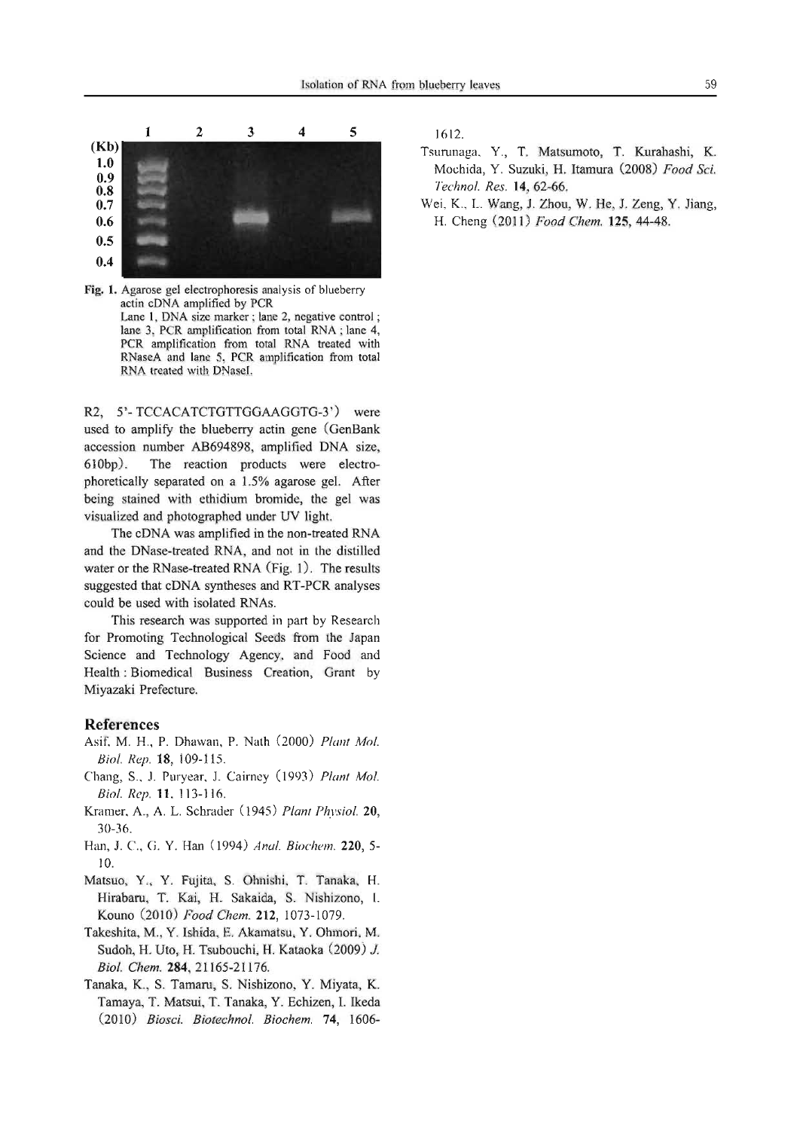

Fig. 1. Agarose gel electrophoresis analysis of blueberry actin cDNA amplified by PCR Lane 1, DNA size marker; lane 2, negative control; lane 3, PCR amplification from total RNA; lane 4, PCR amplification from total RNA treated with RNaseA and lane 5, PCR amplification from total RNA treated with DNaseI.

R2, 5'- TCCACATCTGTTGGAAGGTG-3') were used to amplify the blueberry actin gene (GenBank accession number AB694898, amplified DNA size, 6IObp). The reaction products were electrophoretically separated on a 1.5% agarose gel. After being stained with ethidium bromide, the gel was visualized and photographed under UV light.

The cDNA was amplified in the non-treated RNA and the DNase-treated RNA, and not in the distilled water or the RNase-treated RNA (Fig.  $1$ ). The results suggested that cDNA syntheses and RT-PCR analyses could be used with isolated RNAs.

This research was supported in part by Research for Promoting Technological Seeds from the Japan Science and Technology Agency, and Food and Health: Biomedical Business Creation, Grant by Miyazaki Prefecture.

#### References

- Asif, M. H., P. Dhawan, P. Nath (2000) *Plant Mol. BioI. Rep.* 18 109-115.
- Chang, S., J. Puryear, J. Cairney (1993) *Plant Mol. Biol. Rep.* **11**, 113-116.
- Kramer, A., A. L. Schrader (945) *Plant Physiol.* 20 30-36.
- Han, J. c., G. Y. Han (1994) *Anal. Biochem.* 220, 5- 10.
- Matsuo, Y., Y. Fujita, S. Ohnishi, T. Tanaka, H. Hirabaru, T. Kai, H. Sakaida, S. Nishizono, I. Kouno (2010) *Food Chem.* 212, 1073-1079.
- Takeshita, M., Y. Ishida, E. Akamatsu, Y. Ohmori, M. Sudoh, H. Uto, H. Tsubouchi, H. Kataoka (2009) J. *Bio!' Chem.* 284,21165-21176.
- Tanaka, K., S. Tamaru, S. Nishizono, Y. Miyata, K. Tamaya, T. Matsui, T. Tanaka, Y. Echizen, 1. Ikeda *(2010) Biosci. Biotechnol. Biochem.* 74, 1606-

- Tsurunaga, Y., T. Matsumoto, T. Kurahashi, K. Mochida, Y. Suzuki, H. Itamura (2008) *Food Sci. Technol. Res.* 14 62-66.
- Wei, K., L. Wang, J. Zhou, W. He, J. Zeng, Y. Jiang, H. Cheng (20 I I) *Food Chem.* 125, 44-48.